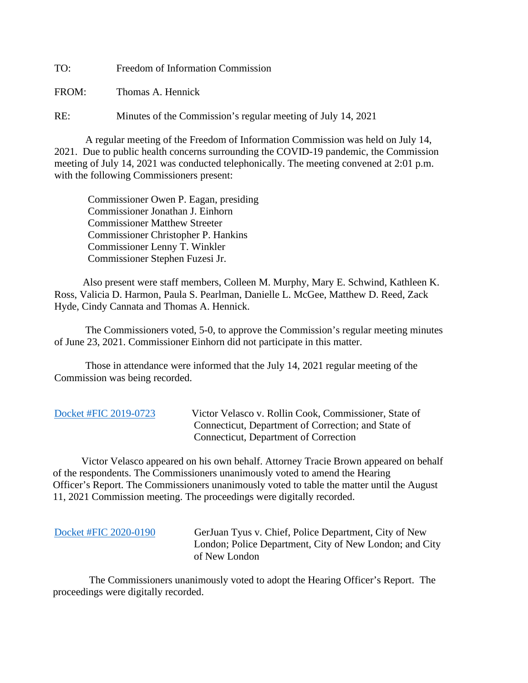TO: Freedom of Information Commission

FROM: Thomas A. Hennick

RE: Minutes of the Commission's regular meeting of July 14, 2021

A regular meeting of the Freedom of Information Commission was held on July 14, 2021. Due to public health concerns surrounding the COVID-19 pandemic, the Commission meeting of July 14, 2021 was conducted telephonically. The meeting convened at 2:01 p.m. with the following Commissioners present:

 Commissioner Owen P. Eagan, presiding Commissioner Jonathan J. Einhorn Commissioner Matthew Streeter Commissioner Christopher P. Hankins Commissioner Lenny T. Winkler Commissioner Stephen Fuzesi Jr.

 Also present were staff members, Colleen M. Murphy, Mary E. Schwind, Kathleen K. Ross, Valicia D. Harmon, Paula S. Pearlman, Danielle L. McGee, Matthew D. Reed, Zack Hyde, Cindy Cannata and Thomas A. Hennick.

The Commissioners voted, 5-0, to approve the Commission's regular meeting minutes of June 23, 2021. Commissioner Einhorn did not participate in this matter.

 Those in attendance were informed that the July 14, 2021 regular meeting of the Commission was being recorded.

[Docket #FIC 2019-0723](https://portal.ct.gov/-/media/FOI/FinalDecisions/2021/JuL14/2019-0723.pdf) Victor Velasco v. Rollin Cook, Commissioner, State of Connecticut, Department of Correction; and State of Connecticut, Department of Correction

 Victor Velasco appeared on his own behalf. Attorney Tracie Brown appeared on behalf of the respondents. The Commissioners unanimously voted to amend the Hearing Officer's Report. The Commissioners unanimously voted to table the matter until the August 11, 2021 Commission meeting. The proceedings were digitally recorded.

[Docket #FIC 2020-0190](https://portal.ct.gov/-/media/FOI/FinalDecisions/2021/JuL14/2020-0190.pdf) GerJuan Tyus v. Chief, Police Department, City of New London; Police Department, City of New London; and City of New London

 The Commissioners unanimously voted to adopt the Hearing Officer's Report. The proceedings were digitally recorded.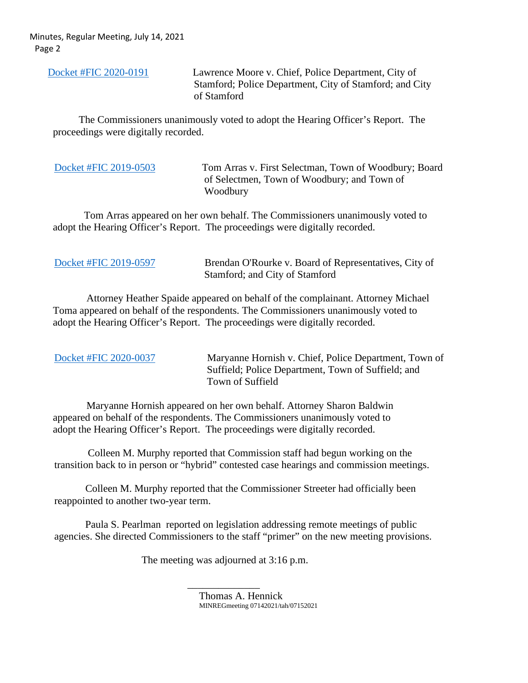Minutes, Regular Meeting, July 14, 2021 Page 2

 [Docket #FIC 2020-0191](https://portal.ct.gov/-/media/FOI/FinalDecisions/2021/JuL14/2020-0191.pdf) Lawrence Moore v. Chief, Police Department, City of Stamford; Police Department, City of Stamford; and City of Stamford

 The Commissioners unanimously voted to adopt the Hearing Officer's Report. The proceedings were digitally recorded.

| Docket #FIC 2019-0503 |  |  |
|-----------------------|--|--|
|                       |  |  |

Tom Arras v. First Selectman, Town of Woodbury; Board of Selectmen, Town of Woodbury; and Town of Woodbury

 Tom Arras appeared on her own behalf. The Commissioners unanimously voted to adopt the Hearing Officer's Report. The proceedings were digitally recorded.

[Docket #FIC 2019-0597](https://portal.ct.gov/-/media/FOI/FinalDecisions/2021/JuL14/2019-0597.pdf) Brendan O'Rourke v. Board of Representatives, City of Stamford; and City of Stamford

 Attorney Heather Spaide appeared on behalf of the complainant. Attorney Michael Toma appeared on behalf of the respondents. The Commissioners unanimously voted to adopt the Hearing Officer's Report. The proceedings were digitally recorded.

| Docket #FIC 2020-0037 | Maryanne Hornish v. Chief, Police Department, Town of |
|-----------------------|-------------------------------------------------------|
|                       | Suffield; Police Department, Town of Suffield; and    |
|                       | Town of Suffield                                      |

 Maryanne Hornish appeared on her own behalf. Attorney Sharon Baldwin appeared on behalf of the respondents. The Commissioners unanimously voted to adopt the Hearing Officer's Report. The proceedings were digitally recorded.

 Colleen M. Murphy reported that Commission staff had begun working on the transition back to in person or "hybrid" contested case hearings and commission meetings.

Colleen M. Murphy reported that the Commissioner Streeter had officially been reappointed to another two-year term.

Paula S. Pearlman reported on legislation addressing remote meetings of public agencies. She directed Commissioners to the staff "primer" on the new meeting provisions.

The meeting was adjourned at 3:16 p.m.

 $\overline{\phantom{a}}$  , and the contract of the contract of the contract of the contract of the contract of the contract of the contract of the contract of the contract of the contract of the contract of the contract of the contrac

Thomas A. Hennick MINREGmeeting 07142021/tah/07152021